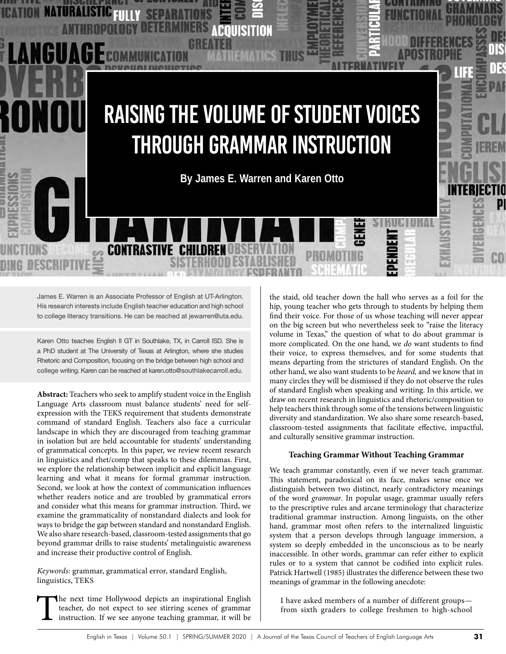

James E. Warren is an Associate Professor of English at UT-Arlington. His research interests include English teacher education and high school to college literacy transitions. He can be reached at jewarren@uta.edu.

Karen Otto teaches English II GT in Southlake, TX, in Carroll ISD. She is a PhD student at The University of Texas at Arlington, where she studies Rhetoric and Composition, focusing on the bridge between high school and college writing. Karen can be reached at karen.otto@southlakecarroll.edu.

**Abstract:** Teachers who seek to amplify student voice in the English Language Arts classroom must balance students' need for selfexpression with the TEKS requirement that students demonstrate command of standard English. Teachers also face a curricular landscape in which they are discouraged from teaching grammar in isolation but are held accountable for students' understanding of grammatical concepts. In this paper, we review recent research in linguistics and rhet/comp that speaks to these dilemmas. First, we explore the relationship between implicit and explicit language learning and what it means for formal grammar instruction. Second, we look at how the context of communication influences whether readers notice and are troubled by grammatical errors and consider what this means for grammar instruction. Third, we examine the grammaticality of nonstandard dialects and look for ways to bridge the gap between standard and nonstandard English. We also share research-based, classroom-tested assignments that go beyond grammar drills to raise students' metalinguistic awareness and increase their productive control of English.

*Keywords:* grammar, grammatical error, standard English, linguistics, TEKS

The next time Hollywood depicts an inspirational English teacher, do not expect to see stirring scenes of grammar instruction. If we see anyone teaching grammar, it will be teacher, do not expect to see stirring scenes of grammar instruction. If we see anyone teaching grammar, it will be

the staid, old teacher down the hall who serves as a foil for the hip, young teacher who gets through to students by helping them find their voice. For those of us whose teaching will never appear on the big screen but who nevertheless seek to "raise the literacy volume in Texas," the question of what to do about grammar is more complicated. On the one hand, we *do* want students to find their voice, to express themselves, and for some students that means departing from the strictures of standard English. On the other hand, we also want students to be *heard,* and we know that in many circles they will be dismissed if they do not observe the rules of standard English when speaking and writing. In this article, we draw on recent research in linguistics and rhetoric/composition to help teachers think through some of the tensions between linguistic diversity and standardization. We also share some research-based, classroom-tested assignments that facilitate effective, impactful, and culturally sensitive grammar instruction.

### **Teaching Grammar Without Teaching Grammar**

We teach grammar constantly, even if we never teach grammar. This statement, paradoxical on its face, makes sense once we distinguish between two distinct, nearly contradictory meanings of the word *grammar*. In popular usage, grammar usually refers to the prescriptive rules and arcane terminology that characterize traditional grammar instruction. Among linguists, on the other hand, grammar most often refers to the internalized linguistic system that a person develops through language immersion, a system so deeply embedded in the unconscious as to be nearly inaccessible. In other words, grammar can refer either to explicit rules or to a system that cannot be codified into explicit rules. Patrick Hartwell (1985) illustrates the difference between these two meanings of grammar in the following anecdote:

I have asked members of a number of different groups from sixth graders to college freshmen to high-school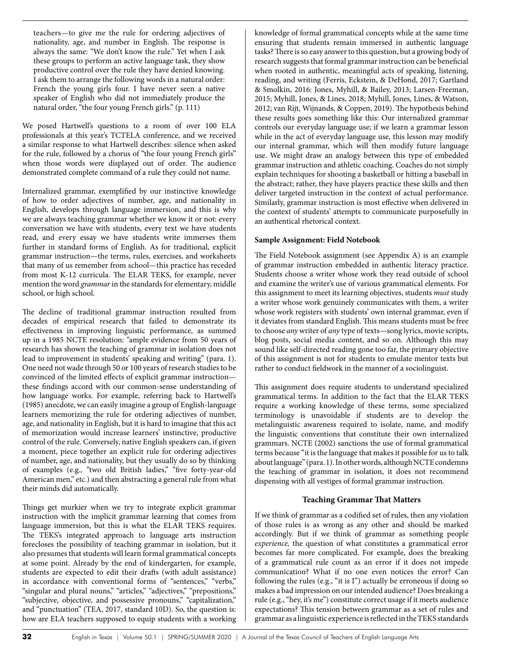teachers—to give me the rule for ordering adjectives of nationality, age, and number in English. The response is always the same: "We don't know the rule." Yet when I ask these groups to perform an active language task, they show productive control over the rule they have denied knowing. I ask them to arrange the following words in a natural order: French the young girls four. I have never seen a native speaker of English who did not immediately produce the natural order, "the four young French girls." (p. 111)

We posed Hartwell's questions to a room of over 100 ELA professionals at this year's TCTELA conference, and we received a similar response to what Hartwell describes: silence when asked for the rule, followed by a chorus of "the four young French girls" when those words were displayed out of order. The audience demonstrated complete command of a rule they could not name.

Internalized grammar, exemplified by our instinctive knowledge of how to order adjectives of number, age, and nationality in English, develops through language immersion, and this is why we are always teaching grammar whether we know it or not: every conversation we have with students, every text we have students read, and every essay we have students write immerses them further in standard forms of English. As for traditional, explicit grammar instruction—the terms, rules, exercises, and worksheets that many of us remember from school—this practice has receded from most K-12 curricula. The ELAR TEKS, for example, never mention the word *grammar* in the standards for elementary, middle school, or high school.

The decline of traditional grammar instruction resulted from decades of empirical research that failed to demonstrate its effectiveness in improving linguistic performance, as summed up in a 1985 NCTE resolution: "ample evidence from 50 years of research has shown the teaching of grammar in isolation does not lead to improvement in students' speaking and writing" (para. 1). One need not wade through 50 or 100 years of research studies to be convinced of the limited effects of explicit grammar instruction these findings accord with our common-sense understanding of how language works. For example, referring back to Hartwell's (1985) anecdote, we can easily imagine a group of English-language learners memorizing the rule for ordering adjectives of number, age, and nationality in English, but it is hard to imagine that this act of memorization would increase learners' instinctive, productive control of the rule. Conversely, native English speakers can, if given a moment, piece together an explicit rule for ordering adjectives of number, age, and nationality, but they usually do so by thinking of examples (e.g., "two old British ladies," "five forty-year-old American men," etc.) and then abstracting a general rule from what their minds did automatically.

Things get murkier when we try to integrate explicit grammar instruction with the implicit grammar learning that comes from language immersion, but this is what the ELAR TEKS requires. The TEKS's integrated approach to language arts instruction forecloses the possibility of teaching grammar in isolation, but it also presumes that students will learn formal grammatical concepts at some point. Already by the end of kindergarten, for example, students are expected to edit their drafts (with adult assistance) in accordance with conventional forms of "sentences," "verbs," "singular and plural nouns," "articles," "adjectives," "prepositions," "subjective, objective, and possessive pronouns," "capitalization," and "punctuation" (TEA, 2017, standard 10D). So, the question is: how are ELA teachers supposed to equip students with a working knowledge of formal grammatical concepts while at the same time ensuring that students remain immersed in authentic language tasks? There is so easy answer to this question, but a growing body of research suggests that formal grammar instruction can be beneficial when rooted in authentic, meaningful acts of speaking, listening, reading, and writing (Ferris, Eckstein, & DeHond, 2017; Gartland & Smolkin, 2016: Jones, Myhill, & Bailey, 2013; Larsen-Freeman, 2015; Myhill, Jones, & Lines, 2018; Myhill, Jones, Lines, & Watson, 2012; van Rijt, Wijnands, & Coppen, 2019). The hypothesis behind these results goes something like this: Our internalized grammar controls our everyday language use; if we learn a grammar lesson while in the act of everyday language use, this lesson may modify our internal grammar, which will then modify future language use. We might draw an analogy between this type of embedded grammar instruction and athletic coaching. Coaches do not simply explain techniques for shooting a basketball or hitting a baseball in the abstract; rather, they have players practice these skills and then deliver targeted instruction in the context of actual performance. Similarly, grammar instruction is most effective when delivered in the context of students' attempts to communicate purposefully in an authentical rhetorical context.

## **Sample Assignment: Field Notebook**

The Field Notebook assignment (see Appendix A) is an example of grammar instruction embedded in authentic literacy practice. Students choose a writer whose work they read outside of school and examine the writer's use of various grammatical elements. For this assignment to meet its learning objectives, students *must* study a writer whose work genuinely communicates with them, a writer whose work registers with students' own internal grammar, even if it deviates from standard English. This means students must be free to choose *any* writer of *any* type of texts—song lyrics, movie scripts, blog posts, social media content, and so on. Although this may sound like self-directed reading gone too far, the primary objective of this assignment is not for students to emulate mentor texts but rather to conduct fieldwork in the manner of a sociolinguist.

This assignment does require students to understand specialized grammatical terms. In addition to the fact that the ELAR TEKS require a working knowledge of these terms, some specialized terminology is unavoidable if students are to develop the metalinguistic awareness required to isolate, name, and modify the linguistic conventions that constitute their own internalized grammars. NCTE (2002) sanctions the use of formal grammatical terms because "it is the language that makes it possible for us to talk about language" (para. 1). In other words, although NCTE condemns the teaching of grammar in isolation, it does not recommend dispensing with all vestiges of formal grammar instruction.

# **Teaching Grammar That Matters**

If we think of grammar as a codified set of rules, then any violation of those rules is as wrong as any other and should be marked accordingly. But if we think of grammar as something people *experience,* the question of what constitutes a grammatical error becomes far more complicated. For example, does the breaking of a grammatical rule count as an error if it does not impede communication? What if no one even notices the error? Can following the rules (e.g., "it is I") actually be erroneous if doing so makes a bad impression on our intended audience? Does breaking a rule (e.g., "hey, it's me") constitute correct usage if it meets audience expectations? This tension between grammar as a set of rules and grammar as a linguistic experience is reflected in the TEKS standards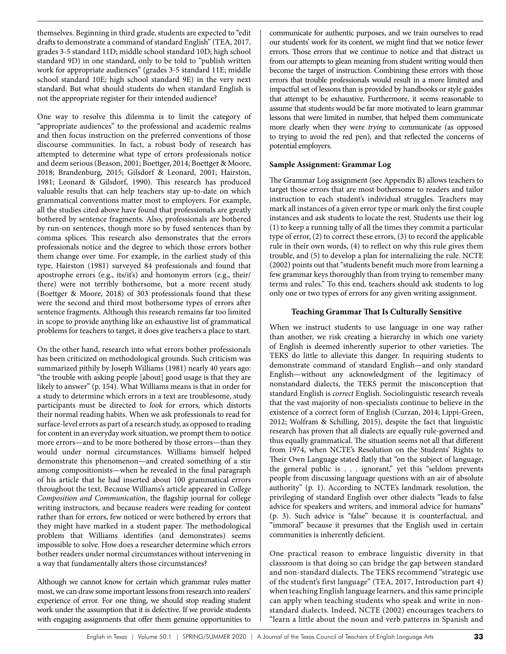themselves. Beginning in third grade, students are expected to "edit drafts to demonstrate a command of standard English" (TEA, 2017, grades 3-5 standard 11D; middle school standard 10D; high school standard 9D) in one standard, only to be told to "publish written work for appropriate audiences" (grades 3-5 standard 11E; middle school standard 10E; high school standard 9E) in the very next standard. But what should students do when standard English is not the appropriate register for their intended audience?

One way to resolve this dilemma is to limit the category of "appropriate audiences" to the professional and academic realms and then focus instruction on the preferred conventions of those discourse communities. In fact, a robust body of research has attempted to determine what type of errors professionals notice and deem serious (Beason, 2001; Boettger, 2014; Boettger & Moore, 2018; Brandenburg, 2015; Gilsdorf & Leonard, 2001; Hairston, 1981; Leonard & Gilsdorf, 1990). This research has produced valuable results that can help teachers stay up-to-date on which grammatical conventions matter most to employers. For example, all the studies cited above have found that professionals are greatly bothered by sentence fragments. Also, professionals are bothered by run-on sentences, though more so by fused sentences than by comma splices. This research also demonstrates that the errors professionals notice and the degree to which those errors bother them change over time. For example, in the earliest study of this type, Hairston (1981) surveyed 84 professionals and found that apostrophe errors (e.g., its/it's) and homonym errors (e.g., their/ there) were not terribly bothersome, but a more recent study (Boettger & Moore, 2018) of 303 professionals found that these were the second and third most bothersome types of errors after sentence fragments. Although this research remains far too limited in scope to provide anything like an exhaustive list of grammatical problems for teachers to target, it does give teachers a place to start.

On the other hand, research into what errors bother professionals has been criticized on methodological grounds. Such criticism was summarized pithily by Joseph Williams (1981) nearly 40 years ago: "the trouble with asking people [about] good usage is that they are likely to answer" (p. 154). What Williams means is that in order for a study to determine which errors in a text are troublesome, study participants must be directed to *look* for errors, which distorts their normal reading habits. When we ask professionals to read for surface-level errors as part of a research study, as opposed to reading for content in an everyday work situation, we prompt them to notice more errors—and to be more bothered by those errors—than they would under normal circumstances. Williams himself helped demonstrate this phenomenon—and created something of a stir among compositionists—when he revealed in the final paragraph of his article that he had inserted about 100 grammatical errors throughout the text. Because Williams's article appeared in *College Composition and Communication*, the flagship journal for college writing instructors, and because readers were reading for content rather than for errors, few noticed or were bothered by errors that they might have marked in a student paper. The methodological problem that Williams identifies (and demonstrates) seems impossible to solve. How does a researcher determine which errors bother readers under normal circumstances without intervening in a way that fundamentally alters those circumstances?

Although we cannot know for certain which grammar rules matter most, we can draw some important lessons from research into readers' experience of error. For one thing, we should stop reading student work under the assumption that it is defective. If we provide students with engaging assignments that offer them genuine opportunities to

communicate for authentic purposes, and we train ourselves to read our students' work for its content, we might find that we notice fewer errors. Those errors that we continue to notice and that distract us from our attempts to glean meaning from student writing would then become the target of instruction. Combining these errors with those errors that trouble professionals would result in a more limited and impactful set of lessons than is provided by handbooks or style guides that attempt to be exhaustive. Furthermore, it seems reasonable to assume that students would be far more motivated to learn grammar lessons that were limited in number, that helped them communicate more clearly when they were *trying* to communicate (as opposed to trying to avoid the red pen), and that reflected the concerns of potential employers.

## **Sample Assignment: Grammar Log**

The Grammar Log assignment (see Appendix B) allows teachers to target those errors that are most bothersome to readers and tailor instruction to each student's individual struggles. Teachers may mark all instances of a given error type or mark only the first couple instances and ask students to locate the rest. Students use their log (1) to keep a running tally of all the times they commit a particular type of error, (2) to correct these errors, (3) to record the applicable rule in their own words, (4) to reflect on why this rule gives them trouble, and (5) to develop a plan for internalizing the rule. NCTE (2002) points out that "students benefit much more from learning a few grammar keys thoroughly than from trying to remember many terms and rules." To this end, teachers should ask students to log only one or two types of errors for any given writing assignment.

## **Teaching Grammar That Is Culturally Sensitive**

When we instruct students to use language in one way rather than another, we risk creating a hierarchy in which one variety of English is deemed inherently superior to other varieties. The TEKS do little to alleviate this danger. In requiring students to demonstrate command of standard English—and only standard English—without any acknowledgment of the legitimacy of nonstandard dialects, the TEKS permit the misconception that standard English is *correct* English. Sociolinguistic research reveals that the vast majority of non-specialists continue to believe in the existence of a correct form of English (Curzan, 2014; Lippi-Green, 2012; Wolfram & Schilling, 2015), despite the fact that linguistic research has proven that all dialects are equally rule-governed and thus equally grammatical. The situation seems not all that different from 1974, when NCTE's Resolution on the Students' Rights to Their Own Language stated flatly that "on the subject of language, the general public is . . . ignorant," yet this "seldom prevents people from discussing language questions with an air of absolute authority" (p. 1). According to NCTE's landmark resolution, the privileging of standard English over other dialects "leads to false advice for speakers and writers, and immoral advice for humans" (p. 3). Such advice is "false" because it is counterfactual, and "immoral" because it presumes that the English used in certain communities is inherently deficient.

One practical reason to embrace linguistic diversity in that classroom is that doing so can bridge the gap between standard and non-standard dialects. The TEKS recommend "strategic use of the student's first language" (TEA, 2017, Introduction part 4) when teaching English language learners, and this same principle can apply when teaching students who speak and write in nonstandard dialects. Indeed, NCTE (2002) encourages teachers to "learn a little about the noun and verb patterns in Spanish and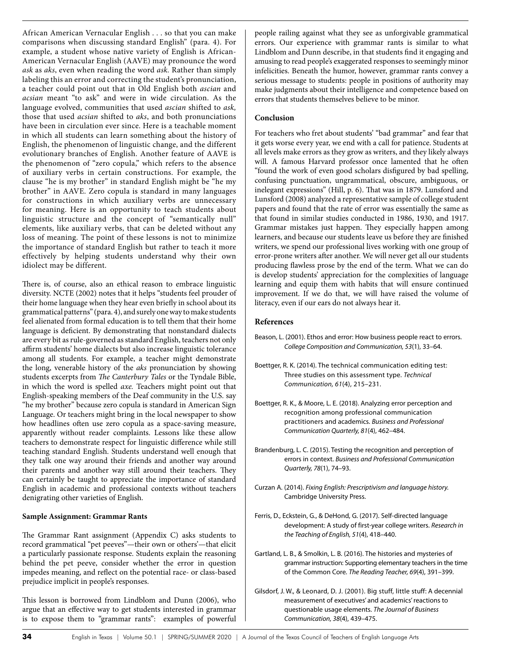African American Vernacular English . . . so that you can make comparisons when discussing standard English" (para. 4). For example, a student whose native variety of English is African-American Vernacular English (AAVE) may pronounce the word *ask* as *aks*, even when reading the word *ask.* Rather than simply labeling this an error and correcting the student's pronunciation, a teacher could point out that in Old English both *ascian* and *acsian* meant "to ask" and were in wide circulation. As the language evolved, communities that used *ascian* shifted to *ask,*  those that used *acsian* shifted to *aks*, and both pronunciations have been in circulation ever since. Here is a teachable moment in which all students can learn something about the history of English, the phenomenon of linguistic change, and the different evolutionary branches of English. Another feature of AAVE is the phenomenon of "zero copula," which refers to the absence of auxiliary verbs in certain constructions. For example, the clause "he is my brother" in standard English might be "he my brother" in AAVE. Zero copula is standard in many languages for constructions in which auxiliary verbs are unnecessary for meaning. Here is an opportunity to teach students about linguistic structure and the concept of "semantically null" elements, like auxiliary verbs, that can be deleted without any loss of meaning. The point of these lessons is not to minimize the importance of standard English but rather to teach it more effectively by helping students understand why their own idiolect may be different.

There is, of course, also an ethical reason to embrace linguistic diversity. NCTE (2002) notes that it helps "students feel prouder of their home language when they hear even briefly in school about its grammatical patterns" (para. 4), and surely one way to make students feel alienated from formal education is to tell them that their home language is deficient. By demonstrating that nonstandard dialects are every bit as rule-governed as standard English, teachers not only affirm students' home dialects but also increase linguistic tolerance among all students. For example, a teacher might demonstrate the long, venerable history of the *aks* pronunciation by showing students excerpts from *The Canterbury Tales* or the Tyndale Bible, in which the word is spelled *axe.* Teachers might point out that English-speaking members of the Deaf community in the U.S. say "he my brother" because zero copula is standard in American Sign Language. Or teachers might bring in the local newspaper to show how headlines often use zero copula as a space-saving measure, apparently without reader complaints. Lessons like these allow teachers to demonstrate respect for linguistic difference while still teaching standard English. Students understand well enough that they talk one way around their friends and another way around their parents and another way still around their teachers. They can certainly be taught to appreciate the importance of standard English in academic and professional contexts without teachers denigrating other varieties of English.

### **Sample Assignment: Grammar Rants**

The Grammar Rant assignment (Appendix C) asks students to record grammatical "pet peeves"—their own or others'—that elicit a particularly passionate response. Students explain the reasoning behind the pet peeve, consider whether the error in question impedes meaning, and reflect on the potential race- or class-based prejudice implicit in people's responses.

This lesson is borrowed from Lindblom and Dunn (2006), who argue that an effective way to get students interested in grammar is to expose them to "grammar rants": examples of powerful people railing against what they see as unforgivable grammatical errors. Our experience with grammar rants is similar to what Lindblom and Dunn describe, in that students find it engaging and amusing to read people's exaggerated responses to seemingly minor infelicities. Beneath the humor, however, grammar rants convey a serious message to students: people in positions of authority may make judgments about their intelligence and competence based on errors that students themselves believe to be minor.

### **Conclusion**

For teachers who fret about students' "bad grammar" and fear that it gets worse every year, we end with a call for patience. Students at all levels make errors as they grow as writers, and they likely always will. A famous Harvard professor once lamented that he often "found the work of even good scholars disfigured by bad spelling, confusing punctuation, ungrammatical, obscure, ambiguous, or inelegant expressions" (Hill, p. 6). That was in 1879. Lunsford and Lunsford (2008) analyzed a representative sample of college student papers and found that the rate of error was essentially the same as that found in similar studies conducted in 1986, 1930, and 1917. Grammar mistakes just happen. They especially happen among learners, and because our students leave us before they are finished writers, we spend our professional lives working with one group of error-prone writers after another. We will never get all our students producing flawless prose by the end of the term. What we can do is develop students' appreciation for the complexities of language learning and equip them with habits that will ensure continued improvement. If we do that, we will have raised the volume of literacy, even if our ears do not always hear it.

## **References**

- Beason, L. (2001). Ethos and error: How business people react to errors. *College Composition and Communication, 53*(1), 33–64.
- Boettger, R. K. (2014). The technical communication editing test: Three studies on this assessment type. *Technical Communication, 61*(4), 215–231.
- Boettger, R. K., & Moore, L. E. (2018). Analyzing error perception and recognition among professional communication practitioners and academics. *Business and Professional Communication Quarterly, 81*(4), 462–484.
- Brandenburg, L. C. (2015). Testing the recognition and perception of errors in context. *Business and Professional Communication Quarterly, 78*(1), 74–93.
- Curzan A. (2014). *Fixing English: Prescriptivism and language history.*  Cambridge University Press.
- Ferris, D., Eckstein, G., & DeHond, G. (2017). Self-directed language development: A study of first-year college writers. *Research in the Teaching of English, 51*(4), 418–440.
- Gartland, L. B., & Smolkin, L. B. (2016). The histories and mysteries of grammar instruction: Supporting elementary teachers in the time of the Common Core. *The Reading Teacher, 69*(4), 391–399.
- Gilsdorf, J. W., & Leonard, D. J. (2001). Big stuff, little stuff: A decennial measurement of executives' and academics' reactions to questionable usage elements. *The Journal of Business*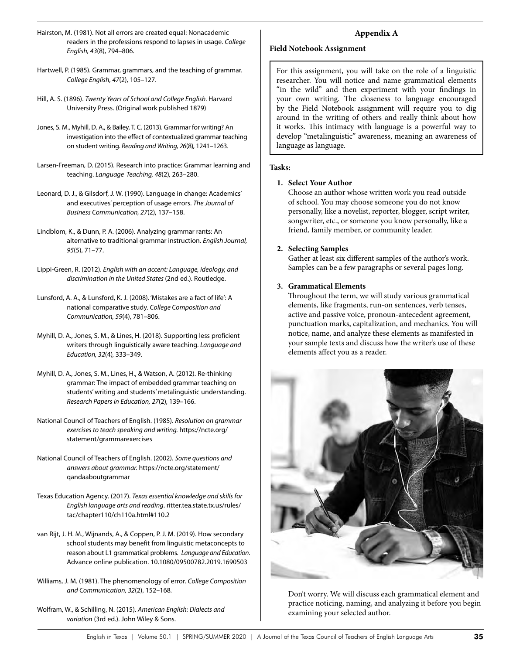- Hairston, M. (1981). Not all errors are created equal: Nonacademic readers in the professions respond to lapses in usage. *College English, 43*(8), 794–806.
- Hartwell, P. (1985). Grammar, grammars, and the teaching of grammar. *College English, 47*(2), 105–127.
- Hill, A. S. (1896). *Twenty Years of School and College English.* Harvard University Press. (Original work published 1879)
- Jones, S. M., Myhill, D. A., & Bailey, T. C. (2013). Grammar for writing? An investigation into the effect of contextualized grammar teaching on student writing. *Reading and Writing, 26*(8)*,* 1241–1263.
- Larsen-Freeman, D. (2015). Research into practice: Grammar learning and teaching. *Language Teaching, 48*(2)*,* 263–280.
- Leonard, D. J., & Gilsdorf, J. W. (1990). Language in change: Academics' and executives' perception of usage errors. *The Journal of Business Communication, 27*(2), 137–158.
- Lindblom, K., & Dunn, P. A. (2006). Analyzing grammar rants: An alternative to traditional grammar instruction. *English Journal, 95*(5), 71–77.
- Lippi-Green, R. (2012). *English with an accent: Language, ideology, and discrimination in the United States* (2nd ed.). Routledge.
- Lunsford, A. A., & Lunsford, K. J. (2008). 'Mistakes are a fact of life': A national comparative study. *College Composition and Communication, 59*(4), 781–806.
- Myhill, D. A., Jones, S. M., & Lines, H. (2018). Supporting less proficient writers through linguistically aware teaching. *Language and Education, 32*(4)*,* 333–349.
- Myhill, D. A., Jones, S. M., Lines, H., & Watson, A. (2012). Re-thinking grammar: The impact of embedded grammar teaching on students' writing and students' metalinguistic understanding. *Research Papers in Education, 27*(2)*,* 139–166.
- National Council of Teachers of English. (1985). *Resolution on grammar exercises to teach speaking and writing.* https://ncte.org/ statement/grammarexercises
- National Council of Teachers of English. (2002). *Some questions and answers about grammar.* https://ncte.org/statement/ qandaaboutgrammar
- Texas Education Agency. (2017). *Texas essential knowledge and skills for English language arts and reading*. ritter.tea.state.tx.us/rules/ tac/chapter110/ch110a.html#110.2
- van Rijt, J. H. M., Wijnands, A., & Coppen, P. J. M. (2019). How secondary school students may benefit from linguistic metaconcepts to reason about L1 grammatical problems. *Language and Education*. Advance online publication. 10.1080/09500782.2019.1690503
- Williams, J. M. (1981). The phenomenology of error. *College Composition and Communication, 32*(2), 152–168*.*
- Wolfram, W., & Schilling, N. (2015). *American English: Dialects and variation* (3rd ed.). John Wiley & Sons.

# **Appendix A**

### **Field Notebook Assignment**

For this assignment, you will take on the role of a linguistic researcher. You will notice and name grammatical elements "in the wild" and then experiment with your findings in your own writing. The closeness to language encouraged by the Field Notebook assignment will require you to dig around in the writing of others and really think about how it works. This intimacy with language is a powerful way to develop "metalinguistic" awareness, meaning an awareness of language as language.

### **Tasks:**

### **1. Select Your Author**

Choose an author whose written work you read outside of school. You may choose someone you do not know personally, like a novelist, reporter, blogger, script writer, songwriter, etc., or someone you know personally, like a friend, family member, or community leader.

### **2. Selecting Samples**

Gather at least six different samples of the author's work. Samples can be a few paragraphs or several pages long.

## **3. Grammatical Elements**

Throughout the term, we will study various grammatical elements, like fragments, run-on sentences, verb tenses, active and passive voice, pronoun-antecedent agreement, punctuation marks, capitalization, and mechanics. You will notice, name, and analyze these elements as manifested in your sample texts and discuss how the writer's use of these elements affect you as a reader.



Don't worry. We will discuss each grammatical element and practice noticing, naming, and analyzing it before you begin examining your selected author.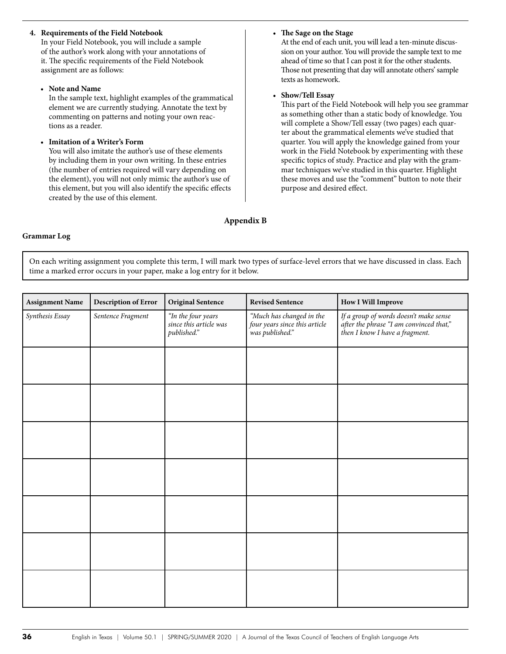## **4. Requirements of the Field Notebook**

In your Field Notebook, you will include a sample of the author's work along with your annotations of it. The specific requirements of the Field Notebook assignment are as follows:

### • **Note and Name**

In the sample text, highlight examples of the grammatical element we are currently studying. Annotate the text by commenting on patterns and noting your own reactions as a reader.

• **Imitation of a Writer's Form**

You will also imitate the author's use of these elements by including them in your own writing. In these entries (the number of entries required will vary depending on the element), you will not only mimic the author's use of this element, but you will also identify the specific effects created by the use of this element.

### • **The Sage on the Stage**

At the end of each unit, you will lead a ten-minute discussion on your author. You will provide the sample text to me ahead of time so that I can post it for the other students. Those not presenting that day will annotate others' sample texts as homework.

### • **Show/Tell Essay**

This part of the Field Notebook will help you see grammar as something other than a static body of knowledge. You will complete a Show/Tell essay (two pages) each quarter about the grammatical elements we've studied that quarter. You will apply the knowledge gained from your work in the Field Notebook by experimenting with these specific topics of study. Practice and play with the grammar techniques we've studied in this quarter. Highlight these moves and use the "comment" button to note their purpose and desired effect.

# **Appendix B**

### **Grammar Log**

On each writing assignment you complete this term, I will mark two types of surface-level errors that we have discussed in class. Each time a marked error occurs in your paper, make a log entry for it below.

| <b>Assignment Name</b> | Description of Error | <b>Original Sentence</b>                                    | <b>Revised Sentence</b>                                                      | <b>How I Will Improve</b>                                                                                           |
|------------------------|----------------------|-------------------------------------------------------------|------------------------------------------------------------------------------|---------------------------------------------------------------------------------------------------------------------|
| Synthesis Essay        | Sentence Fragment    | "In the four years<br>since this article was<br>published." | "Much has changed in the<br>four years since this article<br>was published." | If a group of words doesn't make sense<br>after the phrase "I am convinced that,"<br>then I know I have a fragment. |
|                        |                      |                                                             |                                                                              |                                                                                                                     |
|                        |                      |                                                             |                                                                              |                                                                                                                     |
|                        |                      |                                                             |                                                                              |                                                                                                                     |
|                        |                      |                                                             |                                                                              |                                                                                                                     |
|                        |                      |                                                             |                                                                              |                                                                                                                     |
|                        |                      |                                                             |                                                                              |                                                                                                                     |
|                        |                      |                                                             |                                                                              |                                                                                                                     |